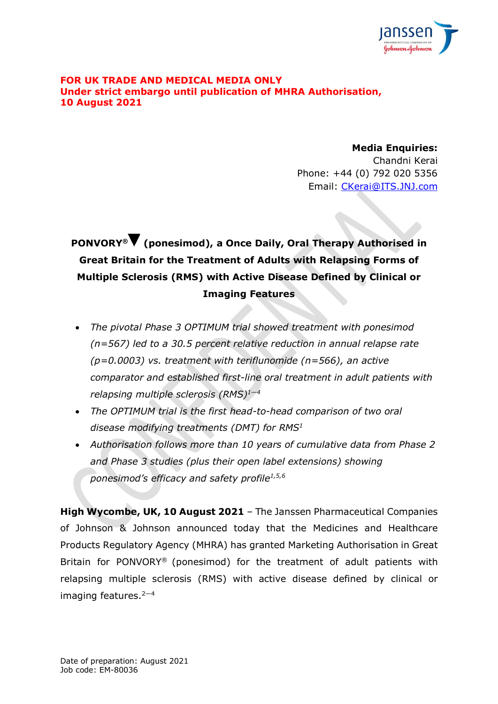

### **FOR UK TRADE AND MEDICAL MEDIA ONLY Under strict embargo until publication of MHRA Authorisation, 10 August 2021**

**Media Enquiries:** Chandni Kerai Phone: +44 (0) 792 020 5356 Email: [CKerai@ITS.JNJ.com](mailto:CKerai@ITS.JNJ.com)

# **PONVORY® (ponesimod), a Once Daily, Oral Therapy Authorised in Great Britain for the Treatment of Adults with Relapsing Forms of Multiple Sclerosis (RMS) with Active Disease Defined by Clinical or Imaging Features**

- *The pivotal Phase 3 OPTIMUM trial showed treatment with ponesimod (n=567) led to a 30.5 percent relative reduction in annual relapse rate (p=0.0003) vs. treatment with teriflunomide (n=566), an active comparator and established first-line oral treatment in adult patients with relapsing multiple sclerosis (RMS)<sup>1</sup>—<sup>4</sup>*
- <span id="page-0-2"></span><span id="page-0-0"></span>• *The OPTIMUM trial is the first head-to-head comparison of two oral disease modifying treatments (DMT) for RMS[1](#page-0-0)*
- <span id="page-0-1"></span>• *Authorisation follows more than 10 years of cumulative data from Phase 2 and Phase 3 studies (plus their open label extensions) showing ponesimod's efficacy and safety profile [1](#page-0-0)[,5,](#page-0-1)6*

**High Wycombe, UK, 10 August 2021** – The Janssen Pharmaceutical Companies of Johnson & Johnson announced today that the Medicines and Healthcare Products Regulatory Agency (MHRA) has granted Marketing Authorisation in Great Britain for PONVORY® (ponesimod) for the treatment of adult patients with relapsing multiple sclerosis (RMS) with active disease defined by clinical or imaging features. [2](#page-0-0)—[4](#page-0-2)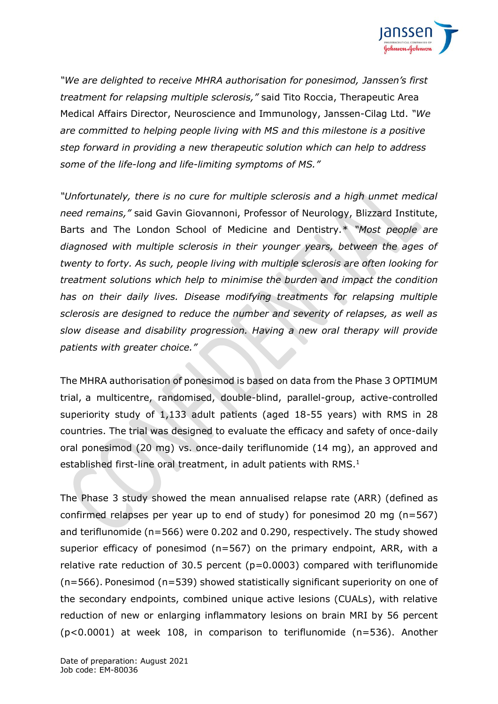

*"We are delighted to receive MHRA authorisation for ponesimod, Janssen's first treatment for relapsing multiple sclerosis,"* said Tito Roccia, Therapeutic Area Medical Affairs Director, Neuroscience and Immunology, Janssen-Cilag Ltd. *"We are committed to helping people living with MS and this milestone is a positive step forward in providing a new therapeutic solution which can help to address some of the life-long and life-limiting symptoms of MS."*

*"Unfortunately, there is no cure for multiple sclerosis and a high unmet medical need remains,"* said Gavin Giovannoni, Professor of Neurology, Blizzard Institute, Barts and The London School of Medicine and Dentistry*.*\* *"Most people are diagnosed with multiple sclerosis in their younger years, between the ages of twenty to forty. As such, people living with multiple sclerosis are often looking for treatment solutions which help to minimise the burden and impact the condition has on their daily lives. Disease modifying treatments for relapsing multiple sclerosis are designed to reduce the number and severity of relapses, as well as slow disease and disability progression. Having a new oral therapy will provide patients with greater choice."*

The MHRA authorisation of ponesimod is based on data from the Phase 3 OPTIMUM trial, a multicentre, randomised, double-blind, parallel-group, active-controlled superiority study of 1,133 adult patients (aged 18-55 years) with RMS in 28 countries. The trial was designed to evaluate the efficacy and safety of once-daily oral ponesimod (20 mg) vs. once-daily teriflunomide (14 mg), an approved and established first-line oral treatment, in adult patients with RMS.<sup>[1](#page-0-0)</sup>

The Phase 3 study showed the mean annualised relapse rate (ARR) (defined as confirmed relapses per year up to end of study) for ponesimod 20 mg (n=567) and teriflunomide (n=566) were 0.202 and 0.290, respectively. The study showed superior efficacy of ponesimod (n=567) on the primary endpoint, ARR, with a relative rate reduction of 30.5 percent (p*=*0.0003) compared with teriflunomide (n=566). Ponesimod (n=539) showed statistically significant superiority on one of the secondary endpoints, combined unique active lesions (CUALs), with relative reduction of new or enlarging inflammatory lesions on brain MRI by 56 percent (p<0.0001) at week 108, in comparison to teriflunomide (n=536). Another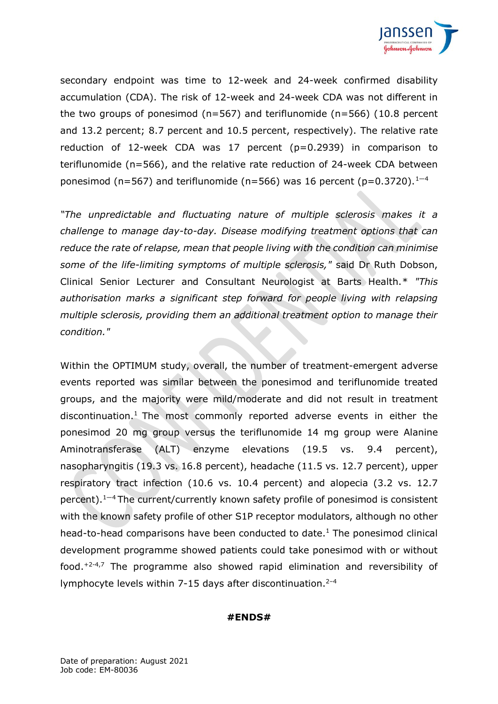

secondary endpoint was time to 12-week and 24-week confirmed disability accumulation (CDA). The risk of 12-week and 24-week CDA was not different in the two groups of ponesimod ( $n=567$ ) and teriflunomide ( $n=566$ ) (10.8 percent and 13.2 percent; 8.7 percent and 10.5 percent, respectively). The relative rate reduction of 12-week CDA was 17 percent  $(p=0.2939)$  in comparison to teriflunomide (n=566), and the relative rate reduction of 24-week CDA between ponesimod (n=567) and teriflunomide (n=566) was [1](#page-0-0)6 percent (p=0.3720).<sup>1-[4](#page-0-2)</sup>

*"The unpredictable and fluctuating nature of multiple sclerosis makes it a challenge to manage day-to-day. Disease modifying treatment options that can reduce the rate of relapse, mean that people living with the condition can minimise some of the life-limiting symptoms of multiple sclerosis,"* said Dr Ruth Dobson, Clinical Senior Lecturer and Consultant Neurologist at Barts Health.\* *"This authorisation marks a significant step forward for people living with relapsing multiple sclerosis, providing them an additional treatment option to manage their condition."*

Within the OPTIMUM study, overall, the number of treatment-emergent adverse events reported was similar between the ponesimod and teriflunomide treated groups, and the majority were mild/moderate and did not result in treatment discontinuation.<sup>[1](#page-0-0)</sup> The most commonly reported adverse events in either the ponesimod 20 mg group versus the teriflunomide 14 mg group were Alanine Aminotransferase (ALT) enzyme elevations (19.5 vs. 9.4 percent), nasopharyngitis (19.3 vs. 16.8 percent), headache (11.5 vs. 12.7 percent), upper respiratory tract infection (10.6 vs. 10.4 percent) and alopecia (3.2 vs. 12.7 percent)[.](#page-0-0)<sup>1-[4](#page-0-2)</sup> The current/currently known safety profile of ponesimod is consistent with the known safety profile of other S1P receptor modulators, although no other head-to-head comparisons have been conducted to date. [1](#page-0-0) The ponesimod clinical development programme showed patients could take ponesimod with or without food. +2-4,7 The programme also showed rapid elimination and reversibility of lymphocyte levels within 7-15 days after discontinuation.<sup>2-4</sup>

#### **#ENDS#**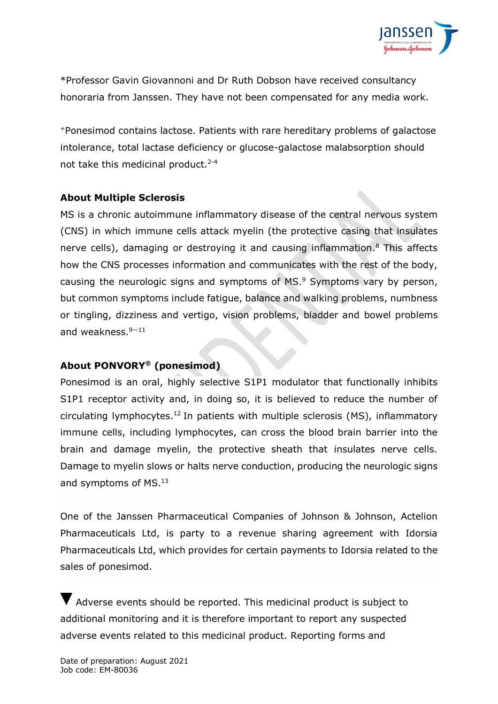

\*Professor Gavin Giovannoni and Dr Ruth Dobson have received consultancy honoraria from Janssen. They have not been compensated for any media work.

<sup>+</sup>Ponesimod contains lactose. Patients with rare hereditary problems of galactose intolerance, total lactase deficiency or glucose-galactose malabsorption should not take this medicinal product.<sup>2-4</sup>

# **About Multiple Sclerosis**

MS is a chronic autoimmune inflammatory disease of the central nervous system (CNS) in which immune cells attack myelin (the protective casing that insulates nerve cells), damaging or destroying it and causing inflammation. <sup>8</sup> This affects how the CNS processes information and communicates with the rest of the body, causing the neurologic signs and symptoms of MS. <sup>9</sup> Symptoms vary by person, but common symptoms include fatigue, balance and walking problems, numbness or tingling, dizziness and vertigo, vision problems, bladder and bowel problems and weakness. 9—11

# **About PONVORY® (ponesimod)**

Ponesimod is an oral, highly selective S1P1 modulator that functionally inhibits S1P1 receptor activity and, in doing so, it is believed to reduce the number of circulating lymphocytes.<sup>12</sup> In patients with multiple sclerosis (MS), inflammatory immune cells, including lymphocytes, can cross the blood brain barrier into the brain and damage myelin, the protective sheath that insulates nerve cells. Damage to myelin slows or halts nerve conduction, producing the neurologic signs and symptoms of MS.<sup>13</sup>

One of the Janssen Pharmaceutical Companies of Johnson & Johnson, Actelion Pharmaceuticals Ltd, is party to a revenue sharing agreement with Idorsia Pharmaceuticals Ltd, which provides for certain payments to Idorsia related to the sales of ponesimod.

Adverse events should be reported. This medicinal product is subject to additional monitoring and it is therefore important to report any suspected adverse events related to this medicinal product. Reporting forms and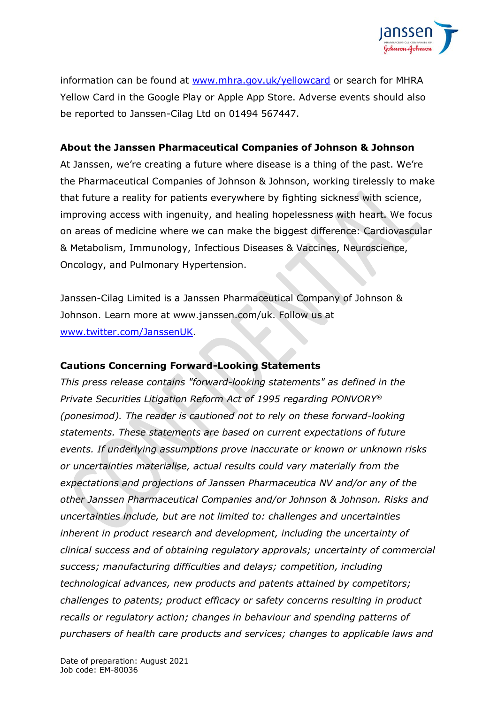

information can be found at [www.mhra.gov.uk/yellowcard](http://www.mhra.gov.uk/yellowcard) or search for MHRA Yellow Card in the Google Play or Apple App Store. Adverse events should also be reported to Janssen-Cilag Ltd on 01494 567447.

# **About the Janssen Pharmaceutical Companies of Johnson & Johnson**

At Janssen, we're creating a future where disease is a thing of the past. We're the Pharmaceutical Companies of Johnson & Johnson, working tirelessly to make that future a reality for patients everywhere by fighting sickness with science, improving access with ingenuity, and healing hopelessness with heart. We focus on areas of medicine where we can make the biggest difference: Cardiovascular & Metabolism, Immunology, Infectious Diseases & Vaccines, Neuroscience, Oncology, and Pulmonary Hypertension.

Janssen-Cilag Limited is a Janssen Pharmaceutical Company of Johnson & Johnson. Learn more at www.janssen.com/uk. Follow us at [www.twitter.com/JanssenUK.](http://www.twitter.com/JanssenUK)

# **Cautions Concerning Forward-Looking Statements**

*This press release contains "forward-looking statements" as defined in the Private Securities Litigation Reform Act of 1995 regarding PONVORY® (ponesimod). The reader is cautioned not to rely on these forward-looking statements. These statements are based on current expectations of future events. If underlying assumptions prove inaccurate or known or unknown risks or uncertainties materialise, actual results could vary materially from the expectations and projections of Janssen Pharmaceutica NV and/or any of the other Janssen Pharmaceutical Companies and/or Johnson & Johnson. Risks and uncertainties include, but are not limited to: challenges and uncertainties inherent in product research and development, including the uncertainty of clinical success and of obtaining regulatory approvals; uncertainty of commercial success; manufacturing difficulties and delays; competition, including technological advances, new products and patents attained by competitors; challenges to patents; product efficacy or safety concerns resulting in product recalls or regulatory action; changes in behaviour and spending patterns of purchasers of health care products and services; changes to applicable laws and*